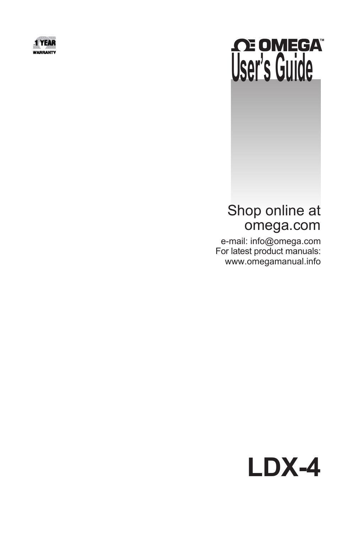

# **CE OMEGATE**

# Shop online at omega.com

 e-mail: info@omega.com For latest product manuals: www.omegamanual.info

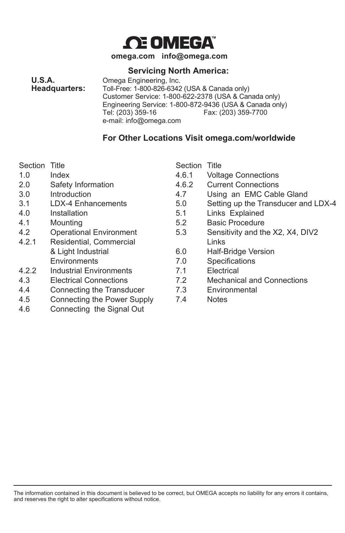

**omega.com info@omega.com**

#### **Servicing North America:**

**U.S.A. C** Omega Engineering, Inc. **Headquarters:** Toll-Free: 1-800-826-6342 **Headquarters:** Toll-Free: 1-800-826-6342 (USA & Canada only) Customer Service: 1-800-622-2378 (USA & Canada only) Engineering Service: 1-800-872-9436 (USA & Canada only) Fax: (203) 359-7700 e-mail: info@omega.com

#### **For Other Locations Visit omega.com/worldwide**

Section Title **Section Title** Section Title

- 
- 
- 
- 
- 
- 
- 
- 4.2.1 Residential, Commercial Commercial Links
- 4.2.2 Industrial Environments 7.1 Electrical
- 
- 4.4 Connecting the Transducer 7.3 Environmental
- 4.5 Connecting the Power Supply 7.4 Notes
- 4.6 Connecting the Signal Out

- 1.0 Index 4.6.1 Voltage Connections
- 2.0 Safety Information 4.6.2 Current Connections
- 3.0 Introduction 4.7 Using an EMC Cable Gland
- 3.1 LDX-4 Enhancements 5.0 Setting up the Transducer and LDX-4
- 4.0 Installation 5.1 Links Explained
- 4.1 Mounting 5.2 Basic Procedure
- 4.2 Operational Environment 5.3 Sensitivity and the X2, X4, DIV2
	- & Light Industrial 6.0 Half-Bridge Version
	- Environments **1.0** T.0 Specifications
		-
- 4.3 Electrical Connections 7.2 Mechanical and Connections
	-
	-

The information contained in this document is believed to be correct, but OMEGA accepts no liability for any errors it contains, and reserves the right to alter specifications without notice.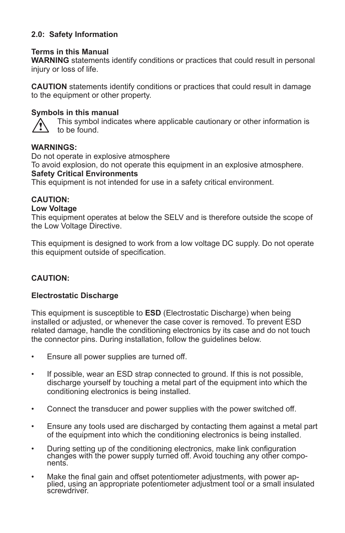#### **2.0: Safety Information**

#### **Terms in this Manual**

**WARNING** statements identify conditions or practices that could result in personal injury or loss of life.

**CAUTION** statements identify conditions or practices that could result in damage to the equipment or other property.

#### **Symbols in this manual**

 This symbol indicates where applicable cautionary or other information is to be found.

#### **WARNINGS:**

Do not operate in explosive atmosphere To avoid explosion, do not operate this equipment in an explosive atmosphere. **Safety Critical Environments**

This equipment is not intended for use in a safety critical environment.

#### **CAUTION:**

#### **Low Voltage**

This equipment operates at below the SELV and is therefore outside the scope of the Low Voltage Directive.

This equipment is designed to work from a low voltage DC supply. Do not operate this equipment outside of specification.

#### **CAUTION:**

#### **Electrostatic Discharge**

This equipment is susceptible to **ESD** (Electrostatic Discharge) when being installed or adjusted, or whenever the case cover is removed. To prevent ESD related damage, handle the conditioning electronics by its case and do not touch the connector pins. During installation, follow the guidelines below.

- Ensure all power supplies are turned off.
- If possible, wear an ESD strap connected to ground. If this is not possible, discharge yourself by touching a metal part of the equipment into which the conditioning electronics is being installed.
- Connect the transducer and power supplies with the power switched off.
- Ensure any tools used are discharged by contacting them against a metal part of the equipment into which the conditioning electronics is being installed.
- During setting up of the conditioning electronics, make link configuration changes with the power supply turned off. Avoid touching any other compo- nents.
- Make the final gain and offset potentiometer adjustments, with power ap- plied, using an appropriate potentiometer adjustment tool or a small insulated screwdriver.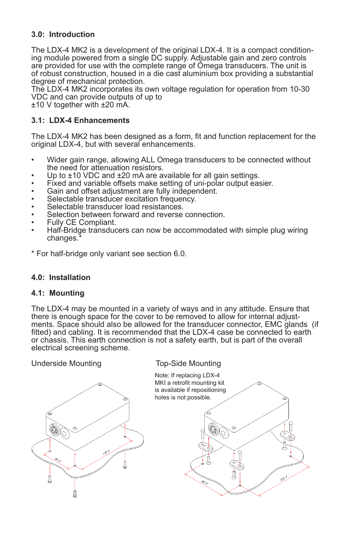#### **3.0: Introduction**

The LDX-4 MK2 is a development of the original LDX-4. It is a compact conditioning module powered from a single DC supply. Adjustable gain and zero controls are provided for use with the complete range of Omega transducers. The unit is of robust construction, housed in a die cast aluminium box providing a substantial degree of mechanical protection.

The LDX-4 MK2 incorporates its own voltage regulation for operation from 10-30 VDC and can provide outputs of up to

±10 V together with ±20 mA.

#### **3.1: LDX-4 Enhancements**

The LDX-4 MK2 has been designed as a form, fit and function replacement for the original LDX-4, but with several enhancements.

- Wider gain range, allowing ALL Omega transducers to be connected without the need for attenuation resistors.
- Up to  $\pm$ 10 VDC and  $\pm$ 20 mA are available for all gain settings.
- Fixed and variable offsets make setting of uni-polar output easier.
- Gain and offset adjustment are fully independent.
- Selectable transducer excitation frequency.
- Selectable transducer load resistances.
- Selection between forward and reverse connection.
- Fully CE Compliant.
- Half-Bridge transducers can now be accommodated with simple plug wiring changes.<sup>\*</sup>
- \* For half-bridge only variant see section 6.0.

#### **4.0: Installation**

#### **4.1: Mounting**

The LDX-4 may be mounted in a variety of ways and in any attitude. Ensure that there is enough space for the cover to be removed to allow for internal adjustments. Space should also be allowed for the transducer connector, EMC glands (if fitted) and cabling. It is recommended that the LDX-4 case be connected to earth or chassis. This earth connection is not a safety earth, but is part of the overall electrical screening scheme.



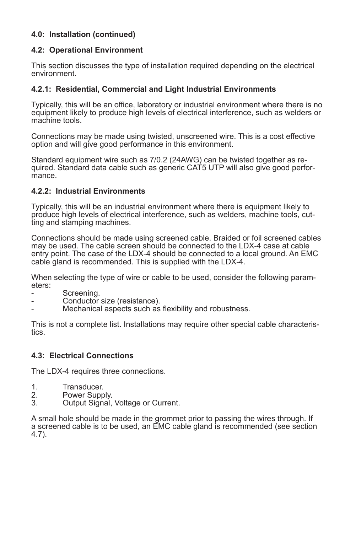#### **4.0: Installation (continued)**

#### **4.2: Operational Environment**

This section discusses the type of installation required depending on the electrical environment.

#### **4.2.1: Residential, Commercial and Light Industrial Environments**

Typically, this will be an office, laboratory or industrial environment where there is no equipment likely to produce high levels of electrical interference, such as welders or machine tools.

Connections may be made using twisted, unscreened wire. This is a cost effective option and will give good performance in this environment.

Standard equipment wire such as 7/0.2 (24AWG) can be twisted together as required. Standard data cable such as generic CAT5 UTP will also give good performance.

#### **4.2.2: Industrial Environments**

Typically, this will be an industrial environment where there is equipment likely to produce high levels of electrical interference, such as welders, machine tools, cutting and stamping machines.

Connections should be made using screened cable. Braided or foil screened cables may be used. The cable screen should be connected to the LDX-4 case at cable entry point. The case of the LDX-4 should be connected to a local ground. An EMC cable gland is recommended. This is supplied with the LDX-4.

When selecting the type of wire or cable to be used, consider the following parameters:

- Screening.
- Conductor size (resistance).
- Mechanical aspects such as flexibility and robustness.

This is not a complete list. Installations may require other special cable characteristics.

#### **4.3: Electrical Connections**

The LDX-4 requires three connections.

- 1. Transducer.<br>2. Power Supp
- 2. Power Supply.<br>3. Output Signal.
- Output Signal, Voltage or Current.

A small hole should be made in the grommet prior to passing the wires through. If a screened cable is to be used, an EMC cable gland is recommended (see section 4.7).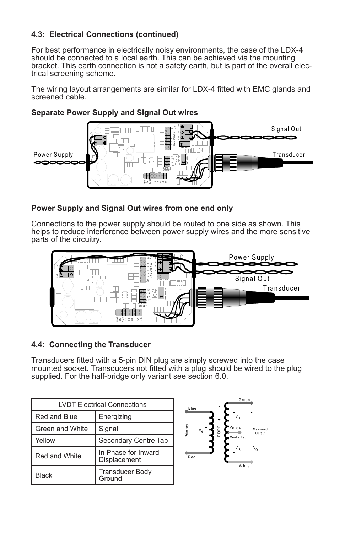#### **4.3: Electrical Connections (continued)**

For best performance in electrically noisy environments, the case of the LDX-4 should be connected to a local earth. This can be achieved via the mounting bracket. This earth connection is not a safety earth, but is part of the overall electrical screening scheme.

The wiring layout arrangements are similar for LDX-4 fitted with EMC glands and screened cable.



#### **Separate Power Supply and Signal Out wires**

#### **Power Supply and Signal Out wires from one end only**

Connections to the power supply should be routed to one side as shown. This helps to reduce interference between power supply wires and the more sensitive parts of the circuitry.



#### **4.4: Connecting the Transducer**

Transducers fitted with a 5-pin DIN plug are simply screwed into the case mounted socket. Transducers not fitted with a plug should be wired to the plug supplied. For the half-bridge only variant see section 6.0.

| <b>I VDT Flectrical Connections</b> |                                     |  |
|-------------------------------------|-------------------------------------|--|
| Red and Blue                        | Energizing                          |  |
| Green and White                     | Signal                              |  |
| Yellow                              | Secondary Centre Tap                |  |
| Red and White                       | In Phase for Inward<br>Displacement |  |
| <b>Black</b>                        | <b>Transducer Body</b><br>Ground    |  |

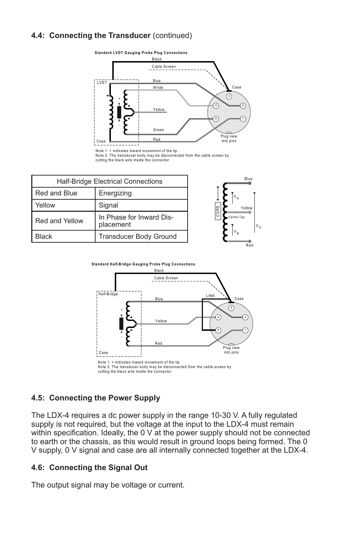#### **4.4: Connecting the Transducer** (continued)



Note 1: + indicates inward movement of the tip. Note 2: The transducer body may be disconnected from the cable screen by

cutting the black wire inside the connector

| Half-Bridge Electrical Connections |                                       |      | <b>Blue</b>         |
|------------------------------------|---------------------------------------|------|---------------------|
| Red and Blue                       | Energizing                            |      | $V_A$               |
| Yellow                             | Signal                                | CORE | Yellow              |
| Red and Yellow                     | In Phase for Inward Dis-<br>placement |      | Centre Tap<br>$V_0$ |
| <b>Black</b>                       | Transducer Body Ground                |      | $V_B$               |
|                                    |                                       |      | Red                 |



#### **4.5: Connecting the Power Supply**

The LDX-4 requires a dc power supply in the range 10-30 V. A fully regulated supply is not required, but the voltage at the input to the LDX-4 must remain within specification. Ideally, the 0 V at the power supply should not be connected to earth or the chassis, as this would result in ground loops being formed. The 0 V supply, 0 V signal and case are all internally connected together at the LDX-4.

#### **4.6: Connecting the Signal Out**

The output signal may be voltage or current.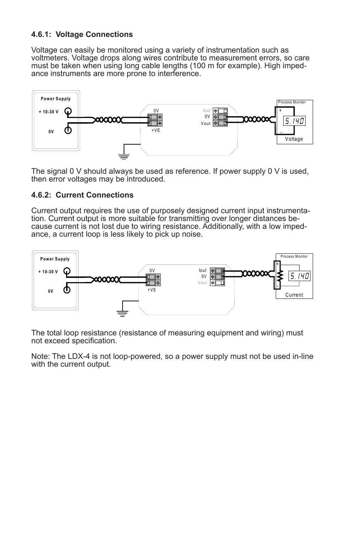#### **4.6.1: Voltage Connections**

Voltage can easily be monitored using a variety of instrumentation such as voltmeters. Voltage drops along wires contribute to measurement errors, so care must be taken when using long cable lengths (100 m for example). High impedance instruments are more prone to interference.



The signal  $0 \vee$  should always be used as reference. If power supply  $0 \vee$  is used, then error voltages may be introduced.

#### **4.6.2: Current Connections**

Current output requires the use of purposely designed current input instrumentation. Current output is more suitable for transmitting over longer distances because current is not lost due to wiring resistance. Additionally, with a low impedance, a current loop is less likely to pick up noise.



The total loop resistance (resistance of measuring equipment and wiring) must not exceed specification.

Note: The LDX-4 is not loop-powered, so a power supply must not be used in-line with the current output.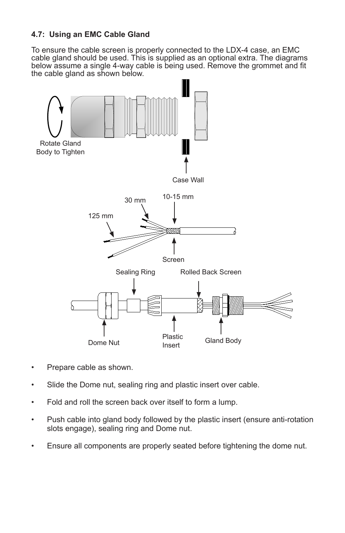#### **4.7: Using an EMC Cable Gland**

To ensure the cable screen is properly connected to the LDX-4 case, an EMC cable gland should be used. This is supplied as an optional extra. The diagrams below assume a single 4-way cable is being used. Remove the grommet and fit the cable gland as shown below.



- Prepare cable as shown.
- Slide the Dome nut, sealing ring and plastic insert over cable.
- Fold and roll the screen back over itself to form a lump.
- Push cable into gland body followed by the plastic insert (ensure anti-rotation slots engage), sealing ring and Dome nut.
- Ensure all components are properly seated before tightening the dome nut.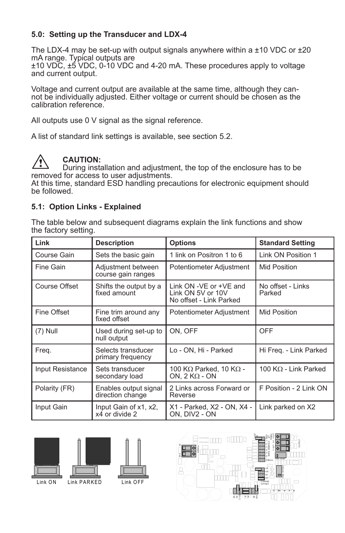#### **5.0: Setting up the Transducer and LDX-4**

The LDX-4 may be set-up with output signals anywhere within a  $\pm 10$  VDC or  $\pm 20$ mA range. Typical outputs are

±10 VDC, ±5 VDC, 0-10 VDC and 4-20 mA. These procedures apply to voltage and current output.

Voltage and current output are available at the same time, although they cannot be individually adjusted. Either voltage or current should be chosen as the calibration reference.

All outputs use 0 V signal as the signal reference.

A list of standard link settings is available, see section 5.2.



#### **CAUTION:**

During installation and adjustment, the top of the enclosure has to be removed for access to user adjustments.

At this time, standard ESD handling precautions for electronic equipment should be followed.

#### **5.1: Option Links - Explained**

The table below and subsequent diagrams explain the link functions and show the factory setting.

| Link             | <b>Description</b>                        | <b>Options</b>                                                         | <b>Standard Setting</b>     |
|------------------|-------------------------------------------|------------------------------------------------------------------------|-----------------------------|
| Course Gain      | Sets the basic gain                       | 1 link on Positron 1 to 6                                              | Link ON Position 1          |
| Fine Gain        | Adjustment between<br>course gain ranges  | Potentiometer Adjustment                                               | Mid Position                |
| Course Offset    | Shifts the output by a<br>fixed amount    | Link ON -VE or +VE and<br>Link ON 5V or 10V<br>No offset - Link Parked | No offset - Links<br>Parked |
| Fine Offset      | Fine trim around any<br>fixed offset      | Potentiometer Adjustment                                               | Mid Position                |
| $(7)$ Null       | Used during set-up to<br>null output      | ON. OFF                                                                | <b>OFF</b>                  |
| Freq.            | Selects transducer<br>primary frequency   | Lo - ON, Hi - Parked                                                   | Hi Freg. - Link Parked      |
| Input Resistance | Sets transducer<br>secondary load         | 100 KΩ Parked, 10 KΩ -<br>ON, $2 K\Omega$ - ON                         | 100 KΩ - Link Parked        |
| Polarity (FR)    | Enables output signal<br>direction change | 2 Links across Forward or<br>Reverse                                   | F Position - 2 Link ON      |
| Input Gain       | Input Gain of x1, x2,<br>x4 or divide 2   | X1 - Parked, X2 - ON, X4 -<br>ON, DIV2 - ON                            | Link parked on X2           |







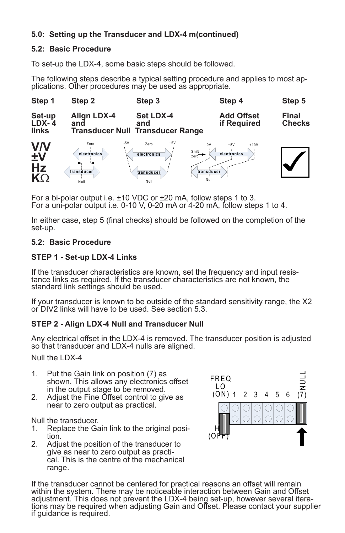#### **5.0: Setting up the Transducer and LDX-4 m(continued)**

#### **5.2: Basic Procedure**

To set-up the LDX-4, some basic steps should be followed.

The following steps describe a typical setting procedure and applies to most ap- plications. Other procedures may be used as appropriate.



For a bi-polar output i.e. ±10 VDC or ±20 mA, follow steps 1 to 3. For a uni-polar output i.e. 0-10 V, 0-20 mA or 4-20 mA, follow steps 1 to 4.

In either case, step 5 (final checks) should be followed on the completion of the set-up.

#### **5.2: Basic Procedure**

#### **STEP 1 - Set-up LDX-4 Links**

If the transducer characteristics are known, set the frequency and input resis-<br>tance links as required. If the transducer characteristics are not known, the standard link settings should be used.

If your transducer is known to be outside of the standard sensitivity range, the X2 or DIV2 links will have to be used. See section 5.3.

#### **STEP 2 - Align LDX-4 Null and Transducer Null**

Any electrical offset in the LDX-4 is removed. The transducer position is adjusted so that transducer and LDX-4 nulls are aligned.

Null the LDX-4

- 1. Put the Gain link on position (7) as shown. This allows any electronics offset in the output stage to be removed.
- 2. Adjust the Fine Offset control to give as near to zero output as practical.

Null the transducer.

- 1. Replace the Gain link to the original position.
- 2. Adjust the position of the transducer to give as near to zero output as practical. This is the centre of the mechanical range.



If the transducer cannot be centered for practical reasons an offset will remain within the system. There may be noticeable interaction between Gain and Offset adjustment. This does not prevent the LDX-4 being set-up, however several itera-<br>tions may be required when adjusting Gain and Offset. Please contact your supplier if guidance is required.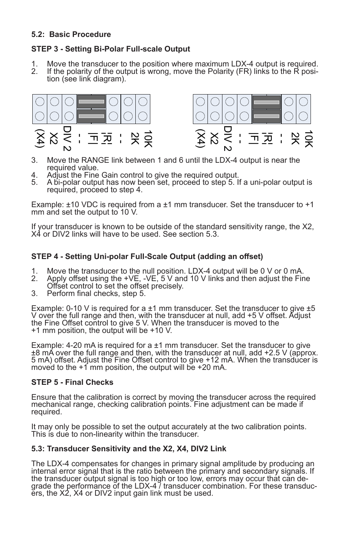#### **5.2: Basic Procedure**

#### **STEP 3 - Setting Bi-Polar Full-scale Output**

- 1. Move the transducer to the position where maximum LDX-4 output is required.<br>2. If the polarity of the output is wrong, move the Polarity (FR) links to the R posi-
- If the polarity of the output is wrong, move the Polarity (FR) links to the R posi-<br>tion (see link diagram).



- 3. Move the RANGE link between 1 and 6 until the LDX-4 output is near the required value.
- 4. Adjust the Fine Gain control to give the required output.
- 5. A bi-polar output has now been set, proceed to step 5. If a uni-polar output is required, proceed to step 4.

Example:  $\pm$ 10 VDC is required from a  $\pm$ 1 mm transducer. Set the transducer to  $+1$ mm and set the output to 10 V.

If your transducer is known to be outside of the standard sensitivity range, the X2, X4 or DIV2 links will have to be used. See section 5.3.

#### **STEP 4 - Setting Uni-polar Full-Scale Output (adding an offset)**

- 1. Move the transducer to the null position. LDX-4 output will be 0 V or 0 mA.<br>2. Apply offset using the +VE, -VE, 5 V and 10 V links and then adjust the Fin
- Apply offset using the  $+VE$ ,  $-VE$ , 5 V and 10 V links and then adjust the Fine Offset control to set the offset precisely.
- 3. Perform final checks, step 5.

Example: 0-10 V is required for a  $\pm$ 1 mm transducer. Set the transducer to give  $\pm$ 5 V over the full range and then, with the transducer at null, add +5 V offset. Adjust the Fine Offset control to give 5 V. When the transducer is moved to the +1 mm position, the output will be +10 V.

Example: 4-20 mA is required for a ±1 mm transducer. Set the transducer to give ±8 mA over the full range and then, with the transducer at null, add +2.5 V (approx. 5 mA) offset. Adjust the Fine Offset control to give +12 mA. When the transducer is moved to the  $+1$  mm position, the output will be  $+20$  mA.

#### **STEP 5 - Final Checks**

Ensure that the calibration is correct by moving the transducer across the required mechanical range, checking calibration points. Fine adjustment can be made if required.

It may only be possible to set the output accurately at the two calibration points. This is due to non-linearity within the transducer.

#### **5.3: Transducer Sensitivity and the X2, X4, DIV2 Link**

The LDX-4 compensates for changes in primary signal amplitude by producing an internal error signal that is the ratio between the primary and secondary signals. If grade the performance of the LDX-4 / transducer combination. For these transduc-<br>ers, the X2, X4 or DIV2 input gain link must be used.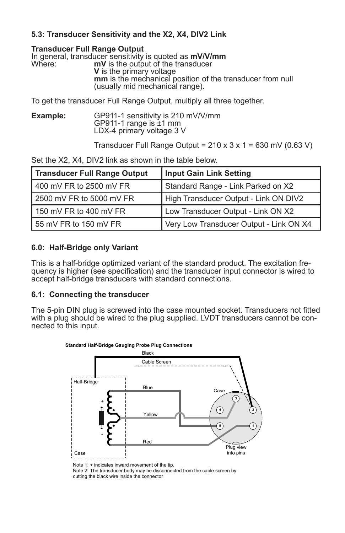#### **5.3: Transducer Sensitivity and the X2, X4, DIV2 Link**

#### **Transducer Full Range Output**

|        | In general, transducer sensitivity is quoted as mV/V/mm                                      |  |
|--------|----------------------------------------------------------------------------------------------|--|
| Where: | mV is the output of the transducer                                                           |  |
|        | <b>V</b> is the primary voltage                                                              |  |
|        | mm is the mechanical position of the transducer from null<br>(usually mid mechanical range). |  |
|        |                                                                                              |  |

To get the transducer Full Range Output, multiply all three together.

**Example:** GP911-1 sensitivity is 210 mV/V/mm<br>GP911-1 range is ±1 mm<br>LDX-4 primary voltage 3 V

Transducer Full Range Output =  $210 \times 3 \times 1 = 630$  mV (0.63 V)

Set the X2, X4, DIV2 link as shown in the table below.

| Transducer Full Range Output | Input Gain Link Setting                 |
|------------------------------|-----------------------------------------|
| 400 mV FR to 2500 mV FR      | Standard Range - Link Parked on X2      |
| 2500 mV FR to 5000 mV FR     | High Transducer Output - Link ON DIV2   |
| 150 mV FR to 400 mV FR       | Low Transducer Output - Link ON X2      |
| 155 mV FR to 150 mV FR       | Very Low Transducer Output - Link ON X4 |

#### **6.0: Half-Bridge only Variant**

This is a half-bridge optimized variant of the standard product. The excitation frequency is higher (see specification) and the transducer input connector is wired to accept half-bridge transducers with standard connections.

#### **6.1: Connecting the transducer**

The 5-pin DIN plug is screwed into the case mounted socket. Transducers not fitted with a plug should be wired to the plug supplied. LVDT transducers cannot be con- nected to this input.



Note 1: + indicates inward movement of the tip. Note 2: The transducer body may be disconnected from the cable screen by cutting the black wire inside the connector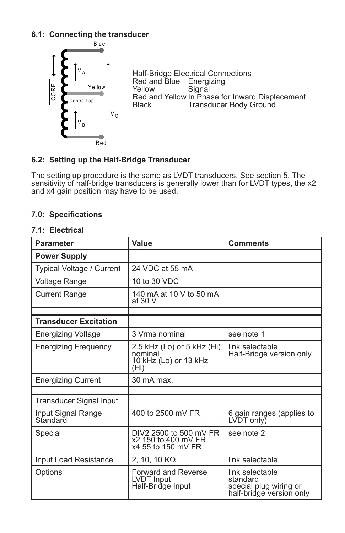#### **6.1: Connecting the transducer**



#### **6.2: Setting up the Half-Bridge Transducer**

The setting up procedure is the same as LVDT transducers. See section 5. The sensitivity of half-bridge transducers is generally lower than for LVDT types, the x2 and x4 gain position may have to be used.

#### **7.0: Specifications**

#### **7.1: Electrical**

| <b>Parameter</b>               | Value                                                                               | <b>Comments</b>                                                                   |
|--------------------------------|-------------------------------------------------------------------------------------|-----------------------------------------------------------------------------------|
| <b>Power Supply</b>            |                                                                                     |                                                                                   |
| Typical Voltage / Current      | 24 VDC at 55 mA                                                                     |                                                                                   |
| Voltage Range                  | 10 to 30 VDC                                                                        |                                                                                   |
| <b>Current Range</b>           | 140 mA at 10 V to 50 mA<br>at 30 V                                                  |                                                                                   |
|                                |                                                                                     |                                                                                   |
| <b>Transducer Excitation</b>   |                                                                                     |                                                                                   |
| Energizing Voltage             | 3 Vrms nominal                                                                      | see note 1                                                                        |
| Energizing Freguency           | 2.5 kHz (Lo) or 5 kHz (Hi)<br>nominal<br>10 kHz (Lo) or 13 kHz<br>(H <sub>i</sub> ) | link selectable<br>Half-Bridge version only                                       |
| <b>Energizing Current</b>      | 30 mA max.                                                                          |                                                                                   |
|                                |                                                                                     |                                                                                   |
| Transducer Signal Input        |                                                                                     |                                                                                   |
| Input Signal Range<br>Standard | 400 to 2500 mV FR                                                                   | 6 gain ranges (applies to<br>LVDT only)                                           |
| Special                        | DIV2 2500 to 500 mV FR<br>x2 150 to 400 mV FR<br>x4 55 to 150 mV FR                 | see note 2                                                                        |
| Input Load Resistance          | 2, 10, 10 $K\Omega$                                                                 | link selectable                                                                   |
| Options                        | <b>Forward and Reverse</b><br>LVDT Input<br>Half-Bridge Input                       | link selectable<br>standard<br>special plug wiring or<br>half-bridge version only |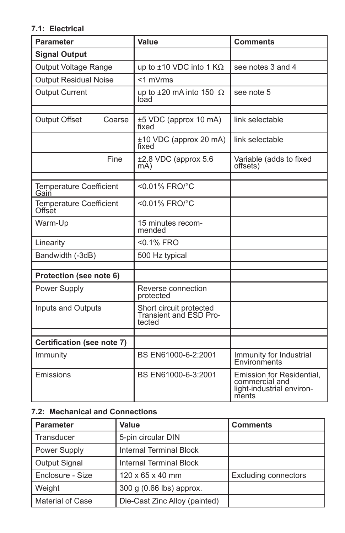#### **7.1: Electrical**

| <b>Parameter</b>                         | Value                                                       | <b>Comments</b>                                                                   |
|------------------------------------------|-------------------------------------------------------------|-----------------------------------------------------------------------------------|
| <b>Signal Output</b>                     |                                                             |                                                                                   |
| Output Voltage Range                     | up to $\pm 10$ VDC into 1 K $\Omega$                        | see notes 3 and 4                                                                 |
| <b>Output Residual Noise</b>             | <1 mVrms                                                    |                                                                                   |
| <b>Output Current</b>                    | up to $\pm 20$ mA into 150 $\Omega$<br>load                 | see note 5                                                                        |
| <b>Output Offset</b><br>Coarse           | ±5 VDC (approx 10 mA)<br>fixed                              | link selectable                                                                   |
|                                          | ±10 VDC (approx 20 mA)<br>fixed                             | link selectable                                                                   |
| Fine                                     | $\pm 2.8$ VDC (approx 5.6<br>mA)                            | Variable (adds to fixed<br>offsets)                                               |
| <b>Temperature Coefficient</b><br>Gain   | $< 0.01\%$ FRO/°C                                           |                                                                                   |
| <b>Temperature Coefficient</b><br>Offset | $< 0.01\%$ FRO/°C                                           |                                                                                   |
| Warm-Up                                  | 15 minutes recom-<br>mended                                 |                                                                                   |
| Linearity                                | $< 0.1\%$ FRO                                               |                                                                                   |
| Bandwidth (-3dB)                         | 500 Hz typical                                              |                                                                                   |
| Protection (see note 6)                  |                                                             |                                                                                   |
| Power Supply                             | Reverse connection<br>protected                             |                                                                                   |
| Inputs and Outputs                       | Short circuit protected<br>Transient and ESD Pro-<br>tected |                                                                                   |
| Certification (see note 7)               |                                                             |                                                                                   |
| Immunity                                 | BS EN61000-6-2:2001                                         | Immunity for Industrial<br>Environments                                           |
| Emissions                                | BS EN61000-6-3:2001                                         | Emission for Residential,<br>commercial and<br>light-industrial environ-<br>ments |

#### **7.2: Mechanical and Connections**

| <b>Parameter</b>        | Value                          | <b>Comments</b>             |
|-------------------------|--------------------------------|-----------------------------|
| Transducer              | 5-pin circular DIN             |                             |
| Power Supply            | Internal Terminal Block        |                             |
| Output Signal           | <b>Internal Terminal Block</b> |                             |
| <b>Enclosure - Size</b> | $120 \times 65 \times 40$ mm   | <b>Excluding connectors</b> |
| Weight                  | 300 g (0.66 lbs) approx.       |                             |
| <b>Material of Case</b> | Die-Cast Zinc Alloy (painted)  |                             |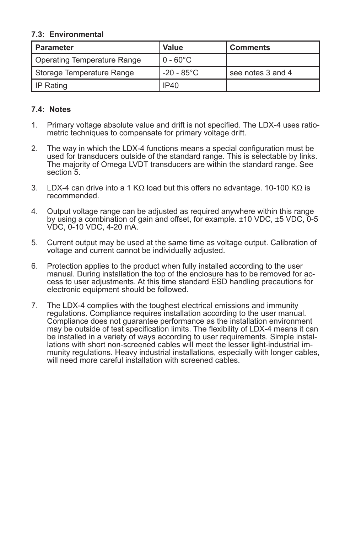#### **7.3: Environmental**

| l Parameter                 | <b>Value</b>       | <b>Comments</b>   |
|-----------------------------|--------------------|-------------------|
| Operating Temperature Range | $0 - 60^{\circ}$ C |                   |
| Storage Temperature Range   | -20 - 85°C         | see notes 3 and 4 |
| I IP Rating                 | <b>IP40</b>        |                   |

#### **7.4: Notes**

- 1. Primary voltage absolute value and drift is not specified. The LDX-4 uses ratiometric techniques to compensate for primary voltage drift.
- 2. The way in which the LDX-4 functions means a special configuration must be used for transducers outside of the standard range. This is selectable by links. The majority of Omega LVDT transducers are within the standard range. See section 5.
- 3. LDX-4 can drive into a 1 K $\Omega$  load but this offers no advantage. 10-100 K $\Omega$  is recommended.
- 4. Output voltage range can be adjusted as required anywhere within this range by using a combination of gain and offset, for example. ±10 VDC, ±5 VDC, 0-5 VDC, 0-10 VDC, 4-20 mA.
- 5. Current output may be used at the same time as voltage output. Calibration of voltage and current cannot be individually adjusted.
- 6. Protection applies to the product when fully installed according to the user cess to user adjustments. At this time standard ESD handling precautions for electronic equipment should be followed.
- 7. The LDX-4 complies with the toughest electrical emissions and immunity regulations. Compliance requires installation according to the user manual. Compliance does not guarantee performance as the installation environment may be outside of test specification limits. The flexibility of LDX-4 means it can<br>be installed in a variety of ways according to user requirements. Simple installations with short non-screened cables will meet the lesser light-industrial im-<br>munity regulations. Heavy industrial installations, especially with longer cables, will need more careful installation with screened cables.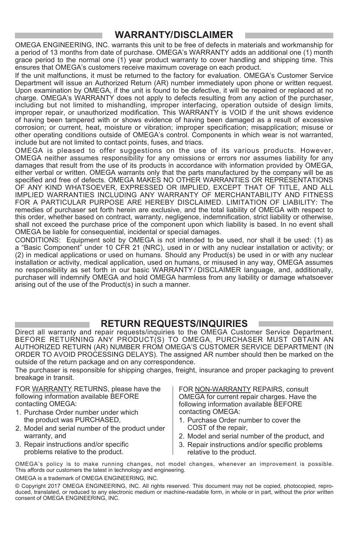### **WARRANTY/DISCLAIMER**

OMEGA ENGINEERING, INC. warrants this unit to be free of defects in materials and workmanship for a period of 13 months from date of purchase. OMEGA's WARRANTY adds an additional one (1) month grace period to the normal one (1) year product warranty to cover handling and shipping time. This ensures that OMEGA's customers receive maximum coverage on each product.

If the unit malfunctions, it must be returned to the factory for evaluation. OMEGA's Customer Service Department will issue an Authorized Return (AR) number immediately upon phone or written request. Upon examination by OMEGA, if the unit is found to be defective, it will be repaired or replaced at no charge. OMEGA's WARRANTY does not apply to defects resulting from any action of the purchaser. including but not limited to mishandling, improper interfacing, operation outside of design limits, improper repair, or unauthorized modification. This WARRANTY is VOID if the unit shows evidence of having been tampered with or shows evidence of having been damaged as a result of excessive corrosion; or current, heat, moisture or vibration; improper specification; misapplication; misuse or other operating conditions outside of OMEGA's control. Components in which wear is not warranted, include but are not limited to contact points, fuses, and triacs.

OMEGA is pleased to offer suggestions on the use of its various products. However, OMEGA neither assumes responsibility for any omissions or errors nor assumes liability for any damages that result from the use of its products in accordance with information provided by OMEGA, either verbal or written. OMEGA warrants only that the parts manufactured by the company will be as specified and free of defects. OMEGA MAKES NO OTHER WARRANTIES OR REPRESENTATIONS OF ANY KIND WHATSOEVER, EXPRESSED OR IMPLIED, EXCEPT THAT OF TITLE, AND ALL IMPLIED WARRANTIES INCLUDING ANY WARRANTY OF MERCHANTABILITY AND FITNESS FOR A PARTICULAR PURPOSE ARE HEREBY DISCLAIMED. LIMITATION OF LIABILITY: The remedies of purchaser set forth herein are exclusive, and the total liability of OMEGA with respect to this order, whether based on contract, warranty, negligence, indemnification, strict liability or otherwise, shall not exceed the purchase price of the component upon which liability is based. In no event shall OMEGA be liable for consequential, incidental or special damages.

CONDITIONS: Equipment sold by OMEGA is not intended to be used, nor shall it be used: (1) as a "Basic Component" under 10 CFR 21 (NRC), used in or with any nuclear installation or activity; or (2) in medical applications or used on humans. Should any Product(s) be used in or with any nuclear installation or activity, medical application, used on humans, or misused in any way, OMEGA assumes no responsibility as set forth in our basic WARRANTY / DISCLAIMER language, and, additionally, purchaser will indemnify OMEGA and hold OMEGA harmless from any liability or damage whatsoever arising out of the use of the Product(s) in such a manner.

#### **RETURN REQUESTS/INQUIRIES**

Direct all warranty and repair requests/inquiries to the OMEGA Customer Service Department. BEFORE RETURNING ANY PRODUCT(S) TO OMEGA, PURCHASER MUST OBTAIN AN AUTHORIZED RETURN (AR) NUMBER FROM OMEGA'S CUSTOMER SERVICE DEPARTMENT (IN ORDER TO AVOID PROCESSING DELAYS). The assigned AR number should then be marked on the outside of the return package and on any correspondence.

The purchaser is responsible for shipping charges, freight, insurance and proper packaging to prevent breakage in transit.

FOR WARRANTY RETURNS, please have the following information available BEFORE contacting OMEGA:

- 1. Purchase Order number under which the product was PURCHASED,
- 2. Model and serial number of the product under warranty, and
- 3. Repair instructions and/or specific problems relative to the product.

FOR NON-WARRANTY REPAIRS, consult OMEGA for current repair charges. Have the following information available BEFORE contacting OMEGA:

- 1. Purchase Order number to cover the COST of the repair,
- 2. Model and serial number of the product, and
- 3. Repair instructions and/or specific problems relative to the product.

OMEGA's policy is to make running changes, not model changes, whenever an improvement is possible. This affords our customers the latest in technology and engineering.

OMEGA is a trademark of OMEGA ENGINEERING, INC.

© Copyright 2017 OMEGA ENGINEERING, INC. All rights reserved. This document may not be copied, photocopied, reproduced, translated, or reduced to any electronic medium or machine-readable form, in whole or in part, without the prior written consent of OMEGA ENGINEERING, INC.